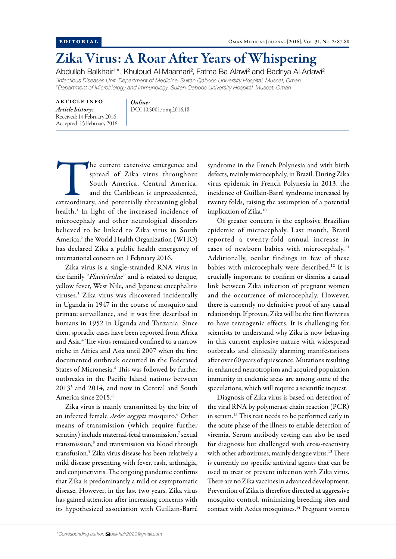## Zika Virus: A Roar After Years of Whispering

Abdullah Balkhair<sup>1\*</sup>, Khuloud Al-Maamari<sup>2</sup>, Fatma Ba Alawi<sup>2</sup> and Badriya Al-Adawi<sup>2</sup>

*1 Infectious Diseases Unit, Department of Medicine, Sultan Qaboos University Hospital, Muscat, Oman 2 Department of Microbiology and Immunology, Sultan Qaboos University Hospital, Muscat, Oman*

ARTICLE INFO *Article history:* Received: 14 February 2016 Accepted: 15 February 2016 *Online:* DOI 10.5001/omj.2016.18

The current extensive emergence and spread of Zika virus throughout South America, Central America, and the Caribbean is unprecedented, extraordinary, and potentially threatening global spread of Zika virus throughout South America, Central America, and the Caribbean is unprecedented, health.1 In light of the increased incidence of microcephaly and other neurological disorders believed to be linked to Zika virus in South America,<sup>2</sup> the World Health Organization (WHO) has declared Zika a public health emergency of international concern on 1 February 2016.

Zika virus is a single-stranded RNA virus in the family "*Flaviviridae*" and is related to dengue, yellow fever, West Nile, and Japanese encephalitis viruses.3 Zika virus was discovered incidentally in Uganda in 1947 in the course of mosquito and primate surveillance, and it was first described in humans in 1952 in Uganda and Tanzania. Since then, sporadic cases have been reported from Africa and Asia.4 The virus remained confined to a narrow niche in Africa and Asia until 2007 when the first documented outbreak occurred in the Federated States of Micronesia.<sup>4</sup> This was followed by further outbreaks in the Pacific Island nations between 20135 and 2014, and now in Central and South America since 2015.6

Zika virus is mainly transmitted by the bite of an infected female Aedes aegypti mosquito.<sup>6</sup> Other means of transmission (which require further scrutiny) include maternal-fetal transmission,7 sexual transmission,8 and transmission via blood through transfusion.9 Zika virus disease has been relatively a mild disease presenting with fever, rash, arthralgia, and conjunctivitis. The ongoing pandemic confirms that Zika is predominantly a mild or asymptomatic disease. However, in the last two years, Zika virus has gained attention after increasing concerns with its hypothesized association with Guillain-Barré

syndrome in the French Polynesia and with birth defects, mainly microcephaly, in Brazil. During Zika virus epidemic in French Polynesia in 2013, the incidence of Guillain-Barré syndrome increased by twenty folds, raising the assumption of a potential implication of Zika.<sup>10</sup>

Of greater concern is the explosive Brazilian epidemic of microcephaly. Last month, Brazil reported a twenty-fold annual increase in cases of newborn babies with microcephaly.<sup>11</sup> Additionally, ocular findings in few of these babies with microcephaly were described.12 It is crucially important to confirm or dismiss a causal link between Zika infection of pregnant women and the occurrence of microcephaly. However, there is currently no definitive proof of any causal relationship. If proven, Zika will be the first flavivirus to have teratogenic effects. It is challenging for scientists to understand why Zika is now behaving in this current explosive nature with widespread outbreaks and clinically alarming manifestations after over 60 years of quiescence. Mutations resulting in enhanced neurotropism and acquired population immunity in endemic areas are among some of the speculations, which will require a scientific inquest.

Diagnosis of Zika virus is based on detection of the viral RNA by polymerase chain reaction (PCR) in serum.13 This test needs to be performed early in the acute phase of the illness to enable detection of viremia. Serum antibody testing can also be used for diagnosis but challenged with cross-reactivity with other arboviruses, mainly dengue virus.<sup>13</sup> There is currently no specific antiviral agents that can be used to treat or prevent infection with Zika virus. There are no Zika vaccines in advanced development. Prevention of Zika is therefore directed at aggressive mosquito control, minimizing breeding sites and contact with Aedes mosquitoes.<sup>14</sup> Pregnant women